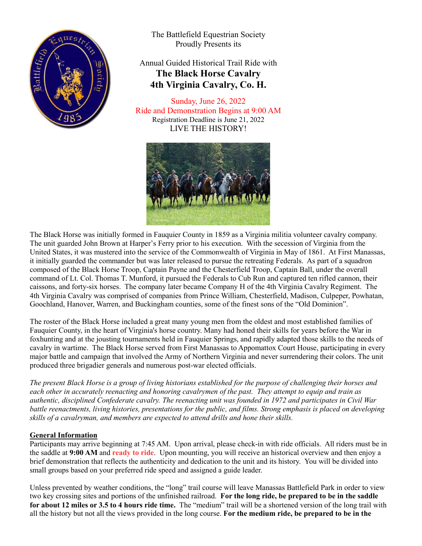

The Battlefield Equestrian Society Proudly Presents its

### Annual Guided Historical Trail Ride with **The Black Horse Cavalry 4th Virginia Cavalry, Co. H.**

Sunday, June 26, 2022 Ride and Demonstration Begins at 9:00 AM Registration Deadline is June 21, 2022 LIVE THE HISTORY!



The Black Horse was initially formed in Fauquier County in 1859 as a Virginia militia volunteer cavalry company. The unit guarded John Brown at Harper's Ferry prior to his execution. With the secession of Virginia from the United States, it was mustered into the service of the Commonwealth of Virginia in May of 1861. At First Manassas, it initially guarded the commander but was later released to pursue the retreating Federals. As part of a squadron composed of the Black Horse Troop, Captain Payne and the Chesterfield Troop, Captain Ball, under the overall command of Lt. Col. Thomas T. Munford, it pursued the Federals to Cub Run and captured ten rifled cannon, their caissons, and forty-six horses. The company later became Company H of the 4th Virginia Cavalry Regiment. The 4th Virginia Cavalry was comprised of companies from Prince William, Chesterfield, Madison, Culpeper, Powhatan, Goochland, Hanover, Warren, and Buckingham counties, some of the finest sons of the "Old Dominion".

The roster of the Black Horse included a great many young men from the oldest and most established families of Fauquier County, in the heart of Virginia's horse country. Many had honed their skills for years before the War in foxhunting and at the jousting tournaments held in Fauquier Springs, and rapidly adapted those skills to the needs of cavalry in wartime. The Black Horse served from First Manassas to Appomattox Court House, participating in every major battle and campaign that involved the Army of Northern Virginia and never surrendering their colors. The unit produced three brigadier generals and numerous post-war elected officials.

*The present Black Horse is a group of living historians established for the purpose of challenging their horses and each other in accurately reenacting and honoring cavalrymen of the past. They attempt to equip and train as authentic, disciplined Confederate cavalry. The reenacting unit was founded in 1972 and participates in Civil War battle reenactments, living histories, presentations for the public, and films. Strong emphasis is placed on developing skills of a cavalryman, and members are expected to attend drills and hone their skills.*

#### **General Information**

Participants may arrive beginning at 7:45 AM. Upon arrival, please check-in with ride officials. All riders must be in the saddle at **9:00 AM** and **ready to ride**. Upon mounting, you will receive an historical overview and then enjoy a brief demonstration that reflects the authenticity and dedication to the unit and its history. You will be divided into small groups based on your preferred ride speed and assigned a guide leader.

Unless prevented by weather conditions, the "long" trail course will leave Manassas Battlefield Park in order to view two key crossing sites and portions of the unfinished railroad. **For the long ride, be prepared to be in the saddle for about 12 miles or 3.5 to 4 hours ride time.** The "medium" trail will be a shortened version of the long trail with all the history but not all the views provided in the long course. **For the medium ride, be prepared to be in the**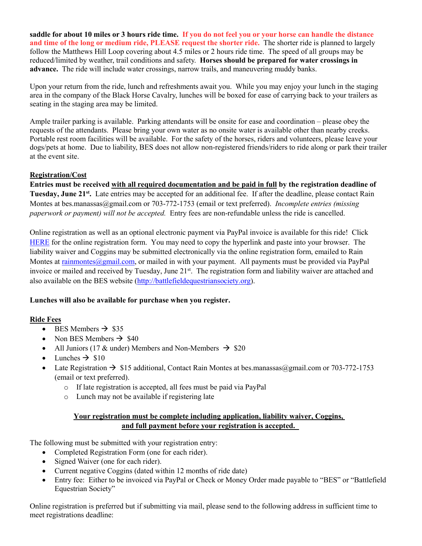**saddle for about 10 miles or 3 hours ride time. If you do not feel you or your horse can handle the distance and time of the long or medium ride, PLEASE request the shorter ride.** The shorter ride is planned to largely follow the Matthews Hill Loop covering about 4.5 miles or 2 hours ride time. The speed of all groups may be reduced/limited by weather, trail conditions and safety. **Horses should be prepared for water crossings in advance.** The ride will include water crossings, narrow trails, and maneuvering muddy banks.

Upon your return from the ride, lunch and refreshments await you. While you may enjoy your lunch in the staging area in the company of the Black Horse Cavalry, lunches will be boxed for ease of carrying back to your trailers as seating in the staging area may be limited.

Ample trailer parking is available. Parking attendants will be onsite for ease and coordination – please obey the requests of the attendants. Please bring your own water as no onsite water is available other than nearby creeks. Portable rest room facilities will be available. For the safety of the horses, riders and volunteers, please leave your dogs/pets at home. Due to liability, BES does not allow non-registered friends/riders to ride along or park their trailer at the event site.

#### **Registration/Cost**

**Entries must be received with all required documentation and be paid in full by the registration deadline of Tuesday, June 21st.** Late entries may be accepted for an additional fee. If after the deadline, please contact Rain Montes at bes.manassas@gmail.com or 703-772-1753 (email or text preferred). *Incomplete entries (missing paperwork or payment) will not be accepted.* Entry fees are non-refundable unless the ride is cancelled.

Online registration as well as an optional electronic payment via PayPal invoice is available for this ride! Click [HERE](https://forms.gle/F9wELJmcE4LfrLpo6) for the online registration form. You may need to copy the hyperlink and paste into your browser. The liability waiver and Coggins may be submitted electronically via the online registration form, emailed to Rain Montes at [rainmontes@gmail.com,](mailto:rainmontes@gmail.com) or mailed in with your payment. All payments must be provided via PayPal invoice or mailed and received by Tuesday, June 21<sup>st</sup>. The registration form and liability waiver are attached and also available on the BES website [\(http://battlefieldequestriansociety.org\)](http://battlefieldequestriansociety.org/).

#### **Lunches will also be available for purchase when you register.**

#### **Ride Fees**

- BES Members  $\rightarrow$  \$35
- Non BES Members  $\rightarrow$  \$40
- All Juniors (17 & under) Members and Non-Members  $\rightarrow$  \$20
- Lunches  $\rightarrow$  \$10
- Late Registration  $\rightarrow$  \$15 additional, Contact Rain Montes at bes.manassas@gmail.com or 703-772-1753 (email or text preferred).
	- o If late registration is accepted, all fees must be paid via PayPal
	- o Lunch may not be available if registering late

#### **Your registration must be complete including application, liability waiver, Coggins, and full payment before your registration is accepted.**

The following must be submitted with your registration entry:

- Completed Registration Form (one for each rider).
- Signed Waiver (one for each rider).
- Current negative Coggins (dated within 12 months of ride date)
- Entry fee: Either to be invoiced via PayPal or Check or Money Order made payable to "BES" or "Battlefield" Equestrian Society"

Online registration is preferred but if submitting via mail, please send to the following address in sufficient time to meet registrations deadline: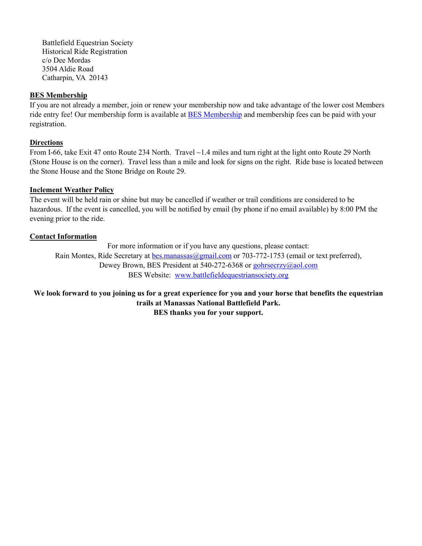Battlefield Equestrian Society Historical Ride Registration c/o Dee Mordas 3504 Aldie Road Catharpin, VA 20143

#### **BES Membership**

If you are not already a member, join or renew your membership now and take advantage of the lower cost Members ride entry fee! Our membership form is available at [BES Membership](http://battlefieldequestriansociety.org/Membership/MembershipApp.pdf) and membership fees can be paid with your registration.

#### **Directions**

From I-66, take Exit 47 onto Route 234 North. Travel ~1.4 miles and turn right at the light onto Route 29 North (Stone House is on the corner). Travel less than a mile and look for signs on the right. Ride base is located between the Stone House and the Stone Bridge on Route 29.

#### **Inclement Weather Policy**

The event will be held rain or shine but may be cancelled if weather or trail conditions are considered to be hazardous. If the event is cancelled, you will be notified by email (by phone if no email available) by 8:00 PM the evening prior to the ride.

#### **Contact Information**

For more information or if you have any questions, please contact: Rain Montes, Ride Secretary at [bes.manassas@gmail.com o](mailto:bes.manassas@gmail.com)r 703-772-1753 (email or text preferred), Dewey Brown, BES President at 540-272-6368 or [gohrsecrzy@aol.com](mailto:gohrsecrzy@aol.com)  BES Website: [www.battlefieldequestriansociety.org](http://www.battlefieldequestriansociety.org/)

**We look forward to you joining us for a great experience for you and your horse that benefits the equestrian trails at Manassas National Battlefield Park. BES thanks you for your support.**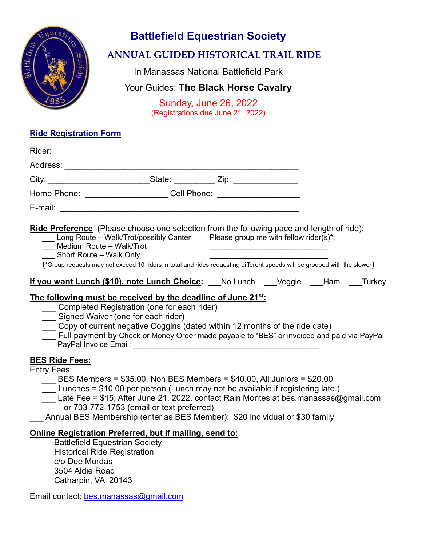

# **Battlefield Equestrian Society**

# **ANNUAL GUIDED HISTORICAL TRAIL RIDE**

In Manassas National Battlefield Park

# Your Guides: **The Black Horse Cavalry**

Sunday, June 26, 2022 (Registrations due June 21, 2022)

### **Ride Registration Form**

| City: ________________________________State: ______________ Zip: _______________                                                                                                                                                                                                                                                                                                                                            |  |  |  |  |
|-----------------------------------------------------------------------------------------------------------------------------------------------------------------------------------------------------------------------------------------------------------------------------------------------------------------------------------------------------------------------------------------------------------------------------|--|--|--|--|
| Home Phone: ________________________Cell Phone: ________________________________                                                                                                                                                                                                                                                                                                                                            |  |  |  |  |
|                                                                                                                                                                                                                                                                                                                                                                                                                             |  |  |  |  |
| <b>Ride Preference</b> (Please choose one selection from the following pace and length of ride):<br>Long Route – Walk/Trot/possibly Canter Please group me with fellow rider(s)*:<br>Medium Route - Walk/Trot<br>Short Route - Walk Only<br>(*Group requests may not exceed 10 riders in total and rides requesting different speeds will be grouped with the slower)                                                       |  |  |  |  |
| If you want Lunch (\$10), note Lunch Choice: No Lunch Cleggie Ham Turkey                                                                                                                                                                                                                                                                                                                                                    |  |  |  |  |
| The following must be received by the deadline of June 21 <sup>st</sup> :<br>_ Completed Registration (one for each rider)<br>___ Signed Waiver (one for each rider)<br>Copy of current negative Coggins (dated within 12 months of the ride date)<br>Full payment by Check or Money Order made payable to "BES" or invoiced and paid via PayPal.                                                                           |  |  |  |  |
| <b>BES Ride Fees:</b><br><b>Entry Fees:</b><br>BES Members = \$35.00, Non BES Members = \$40.00, All Juniors = \$20.00<br>Lunches = \$10.00 per person (Lunch may not be available if registering late.)<br>Late Fee = \$15; After June 21, 2022, contact Rain Montes at bes.manassas@gmail.com<br>or 703-772-1753 (email or text preferred)<br>Annual BES Membership (enter as BES Member): \$20 individual or \$30 family |  |  |  |  |
| Online Registration Preferred, but if mailing, send to:<br><b>Battlefield Equestrian Society</b><br><b>Historical Ride Registration</b>                                                                                                                                                                                                                                                                                     |  |  |  |  |

 c/o Dee Mordas 3504 Aldie Road Catharpin, VA 20143

Email contact: [bes.manassas@gmail.com](mailto:bes.manassas@gmail.com)